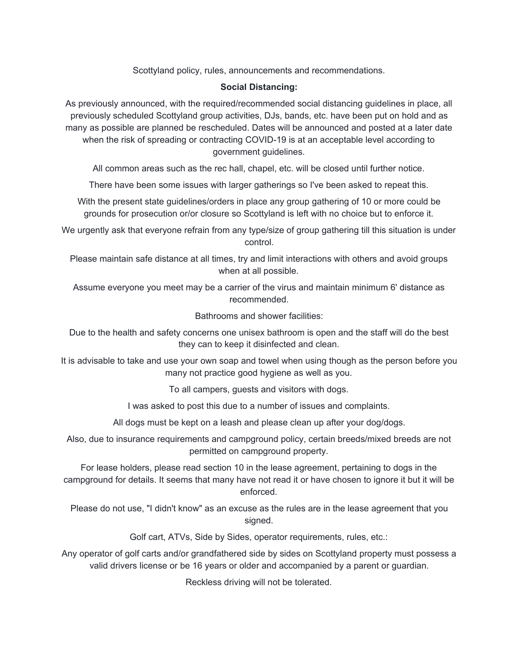Scottyland policy, rules, announcements and recommendations.

## **Social Distancing:**

As previously announced, with the required/recommended social distancing guidelines in place, all previously scheduled Scottyland group activities, DJs, bands, etc. have been put on hold and as many as possible are planned be rescheduled. Dates will be announced and posted at a later date when the risk of spreading or contracting COVID-19 is at an acceptable level according to government guidelines.

All common areas such as the rec hall, chapel, etc. will be closed until further notice.

There have been some issues with larger gatherings so I've been asked to repeat this.

With the present state guidelines/orders in place any group gathering of 10 or more could be grounds for prosecution or/or closure so Scottyland is left with no choice but to enforce it.

We urgently ask that everyone refrain from any type/size of group gathering till this situation is under control.

Please maintain safe distance at all times, try and limit interactions with others and avoid groups when at all possible.

Assume everyone you meet may be a carrier of the virus and maintain minimum 6' distance as recommended.

Bathrooms and shower facilities:

Due to the health and safety concerns one unisex bathroom is open and the staff will do the best they can to keep it disinfected and clean.

It is advisable to take and use your own soap and towel when using though as the person before you many not practice good hygiene as well as you.

To all campers, guests and visitors with dogs.

I was asked to post this due to a number of issues and complaints.

All dogs must be kept on a leash and please clean up after your dog/dogs.

Also, due to insurance requirements and campground policy, certain breeds/mixed breeds are not permitted on campground property.

For lease holders, please read section 10 in the lease agreement, pertaining to dogs in the campground for details. It seems that many have not read it or have chosen to ignore it but it will be enforced.

Please do not use, "I didn't know" as an excuse as the rules are in the lease agreement that you signed.

Golf cart, ATVs, Side by Sides, operator requirements, rules, etc.:

Any operator of golf carts and/or grandfathered side by sides on Scottyland property must possess a valid drivers license or be 16 years or older and accompanied by a parent or guardian.

Reckless driving will not be tolerated.